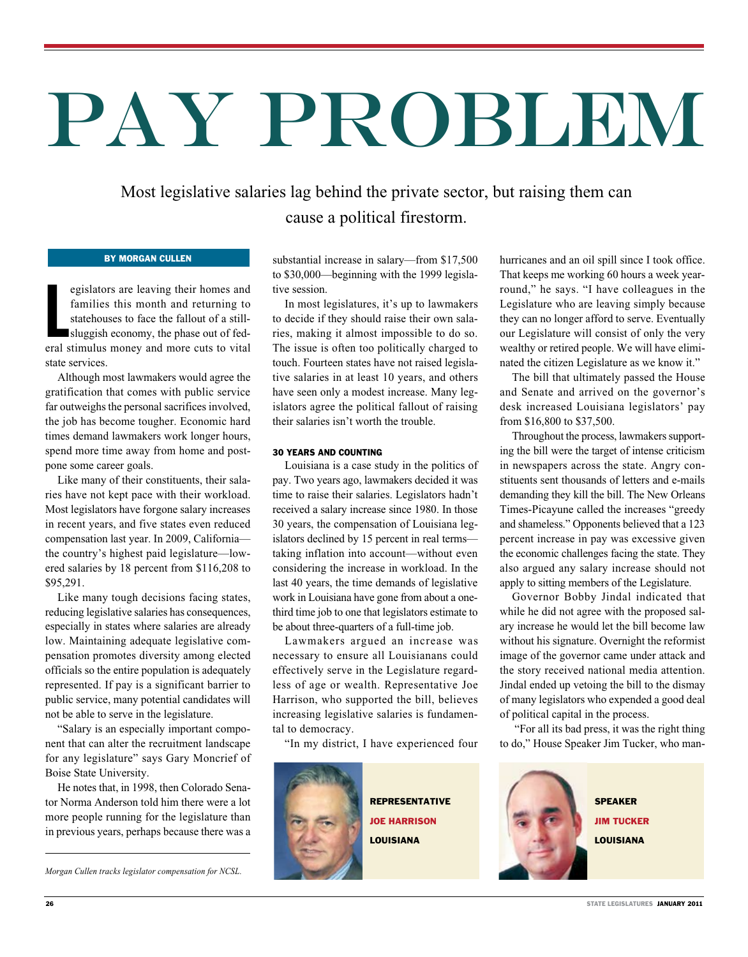# PAY PROBLEM

Most legislative salaries lag behind the private sector, but raising them can cause a political firestorm.

### By Morgan Cullen

egislators are leaving their homes and<br>families this month and returning to<br>statehouses to face the fallout of a still-<br>sluggish economy, the phase out of fed-<br>eral stimulus money and more cuts to vital egislators are leaving their homes and families this month and returning to statehouses to face the fallout of a stillsluggish economy, the phase out of fedstate services.

Although most lawmakers would agree the gratification that comes with public service far outweighs the personal sacrifices involved, the job has become tougher. Economic hard times demand lawmakers work longer hours, spend more time away from home and postpone some career goals.

Like many of their constituents, their salaries have not kept pace with their workload. Most legislators have forgone salary increases in recent years, and five states even reduced compensation last year. In 2009, California the country's highest paid legislature—lowered salaries by 18 percent from \$116,208 to \$95,291.

Like many tough decisions facing states, reducing legislative salaries has consequences, especially in states where salaries are already low. Maintaining adequate legislative compensation promotes diversity among elected officials so the entire population is adequately represented. If pay is a significant barrier to public service, many potential candidates will not be able to serve in the legislature.

"Salary is an especially important component that can alter the recruitment landscape for any legislature" says Gary Moncrief of Boise State University.

He notes that, in 1998, then Colorado Senator Norma Anderson told him there were a lot more people running for the legislature than in previous years, perhaps because there was a

*Morgan Cullen tracks legislator compensation for NCSL.* 

substantial increase in salary—from \$17,500 to \$30,000—beginning with the 1999 legislative session.

In most legislatures, it's up to lawmakers to decide if they should raise their own salaries, making it almost impossible to do so. The issue is often too politically charged to touch. Fourteen states have not raised legislative salaries in at least 10 years, and others have seen only a modest increase. Many legislators agree the political fallout of raising their salaries isn't worth the trouble.

## 30 YEARS AND COUNTING

Louisiana is a case study in the politics of pay. Two years ago, lawmakers decided it was time to raise their salaries. Legislators hadn't received a salary increase since 1980. In those 30 years, the compensation of Louisiana legislators declined by 15 percent in real terms taking inflation into account—without even considering the increase in workload. In the last 40 years, the time demands of legislative work in Louisiana have gone from about a onethird time job to one that legislators estimate to be about three-quarters of a full-time job.

Lawmakers argued an increase was necessary to ensure all Louisianans could effectively serve in the Legislature regardless of age or wealth. Representative Joe Harrison, who supported the bill, believes increasing legislative salaries is fundamental to democracy.

"In my district, I have experienced four



hurricanes and an oil spill since I took office. That keeps me working 60 hours a week yearround," he says. "I have colleagues in the Legislature who are leaving simply because they can no longer afford to serve. Eventually our Legislature will consist of only the very wealthy or retired people. We will have eliminated the citizen Legislature as we know it."

The bill that ultimately passed the House and Senate and arrived on the governor's desk increased Louisiana legislators' pay from \$16,800 to \$37,500.

Throughout the process, lawmakers supporting the bill were the target of intense criticism in newspapers across the state. Angry constituents sent thousands of letters and e-mails demanding they kill the bill. The New Orleans Times-Picayune called the increases "greedy and shameless." Opponents believed that a 123 percent increase in pay was excessive given the economic challenges facing the state. They also argued any salary increase should not apply to sitting members of the Legislature.

Governor Bobby Jindal indicated that while he did not agree with the proposed salary increase he would let the bill become law without his signature. Overnight the reformist image of the governor came under attack and the story received national media attention. Jindal ended up vetoing the bill to the dismay of many legislators who expended a good deal of political capital in the process.

 "For all its bad press, it was the right thing to do," House Speaker Jim Tucker, who man-

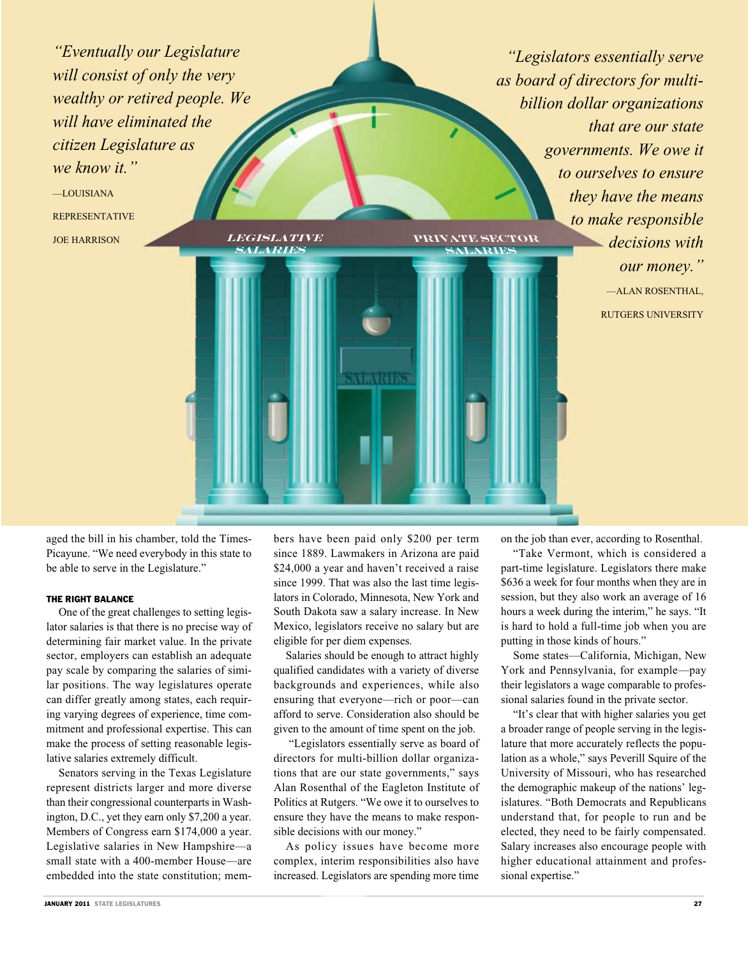*"Eventually our Legislature will consist of only the very wealthy or retired people. We will have eliminated the citizen Legislature as we know it."*

**salaries**

—LOUISIANA REPRESENTATIVE *LEGISLATIVE* 

*"Legislators essentially serve as board of directors for multibillion dollar organizations that are our state governments. We owe it to ourselves to ensure they have the means to make responsible decisions with our money."* —ALAN ROSENTHAL, **private sector salaries**

RUTGERS UNIVERSITY

aged the bill in his chamber, told the Times-Picayune. "We need everybody in this state to be able to serve in the Legislature."

# THE RIGHT BALANCE

One of the great challenges to setting legislator salaries is that there is no precise way of determining fair market value. In the private sector, employers can establish an adequate pay scale by comparing the salaries of similar positions. The way legislatures operate can differ greatly among states, each requiring varying degrees of experience, time commitment and professional expertise. This can make the process of setting reasonable legislative salaries extremely difficult.

Senators serving in the Texas Legislature represent districts larger and more diverse than their congressional counterparts in Washington, D.C., yet they earn only \$7,200 a year. Members of Congress earn \$174,000 a year. Legislative salaries in New Hampshire—a small state with a 400-member House—are embedded into the state constitution; mem-

bers have been paid only \$200 per term since 1889. Lawmakers in Arizona are paid \$24,000 a year and haven't received a raise since 1999. That was also the last time legislators in Colorado, Minnesota, New York and South Dakota saw a salary increase. In New Mexico, legislators receive no salary but are eligible for per diem expenses.

**TATRIK** 

Salaries should be enough to attract highly qualified candidates with a variety of diverse backgrounds and experiences, while also ensuring that everyone—rich or poor—can afford to serve. Consideration also should be given to the amount of time spent on the job.

 "Legislators essentially serve as board of directors for multi-billion dollar organizations that are our state governments," says Alan Rosenthal of the Eagleton Institute of Politics at Rutgers. "We owe it to ourselves to ensure they have the means to make responsible decisions with our money."

As policy issues have become more complex, interim responsibilities also have increased. Legislators are spending more time on the job than ever, according to Rosenthal.

"Take Vermont, which is considered a part-time legislature. Legislators there make \$636 a week for four months when they are in session, but they also work an average of 16 hours a week during the interim," he says. "It is hard to hold a full-time job when you are putting in those kinds of hours."

Some states—California, Michigan, New York and Pennsylvania, for example—pay their legislators a wage comparable to professional salaries found in the private sector.

"It's clear that with higher salaries you get a broader range of people serving in the legislature that more accurately reflects the population as a whole," says Peverill Squire of the University of Missouri, who has researched the demographic makeup of the nations' legislatures. "Both Democrats and Republicans understand that, for people to run and be elected, they need to be fairly compensated. Salary increases also encourage people with higher educational attainment and professional expertise."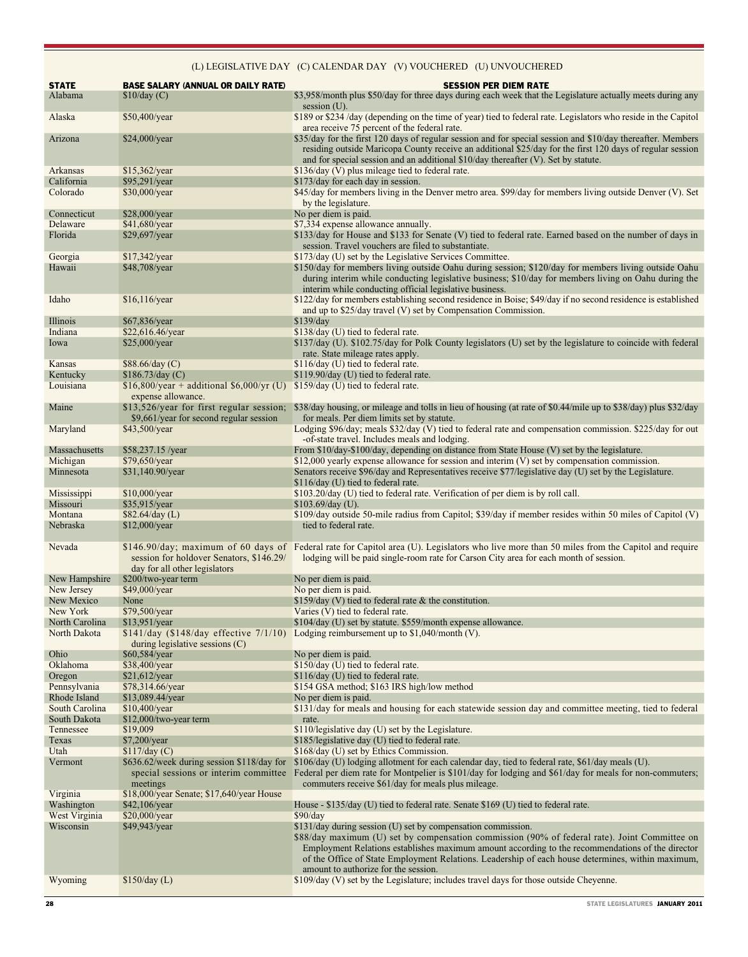# (L) LEGISLATIVE DAY (C) CALENDAR DAY (V) VOUCHERED (U) UNVOUCHERED

| <b>STATE</b><br>Alabama        | <b>BASE SALARY (ANNUAL OR DAILY RATE)</b><br>\$10/day (C)                                        | <b>SESSION PER DIEM RATE</b><br>\$3,958/month plus \$50/day for three days during each week that the Legislature actually meets during any                                                                                                                                                                                                                     |
|--------------------------------|--------------------------------------------------------------------------------------------------|----------------------------------------------------------------------------------------------------------------------------------------------------------------------------------------------------------------------------------------------------------------------------------------------------------------------------------------------------------------|
| Alaska                         | \$50,400/year                                                                                    | session $(U)$ .<br>\$189 or \$234/day (depending on the time of year) tied to federal rate. Legislators who reside in the Capitol                                                                                                                                                                                                                              |
| Arizona                        | \$24,000/year                                                                                    | area receive 75 percent of the federal rate.<br>\$35/day for the first 120 days of regular session and for special session and \$10/day thereafter. Members<br>residing outside Maricopa County receive an additional \$25/day for the first 120 days of regular session<br>and for special session and an additional \$10/day thereafter (V). Set by statute. |
| Arkansas                       | \$15,362/year                                                                                    | \$136/day (V) plus mileage tied to federal rate.                                                                                                                                                                                                                                                                                                               |
| California<br>Colorado         | \$95,291/year<br>\$30,000/year                                                                   | \$173/day for each day in session.<br>\$45/day for members living in the Denver metro area. \$99/day for members living outside Denver (V). Set                                                                                                                                                                                                                |
| Connecticut                    | \$28,000/year                                                                                    | by the legislature.<br>No per diem is paid.                                                                                                                                                                                                                                                                                                                    |
| Delaware                       | \$41,680/year                                                                                    | \$7,334 expense allowance annually.                                                                                                                                                                                                                                                                                                                            |
| Florida                        | \$29,697/year                                                                                    | \$133/day for House and \$133 for Senate (V) tied to federal rate. Earned based on the number of days in<br>session. Travel vouchers are filed to substantiate.                                                                                                                                                                                                |
| Georgia                        | \$17,342/year                                                                                    | \$173/day (U) set by the Legislative Services Committee.                                                                                                                                                                                                                                                                                                       |
| Hawaii                         | \$48,708/year                                                                                    | \$150/day for members living outside Oahu during session; \$120/day for members living outside Oahu<br>during interim while conducting legislative business; \$10/day for members living on Oahu during the<br>interim while conducting official legislative business.                                                                                         |
| Idaho                          | \$16,116/year                                                                                    | \$122/day for members establishing second residence in Boise; \$49/day if no second residence is established<br>and up to \$25/day travel (V) set by Compensation Commission.                                                                                                                                                                                  |
| Illinois                       | \$67,836/year                                                                                    | \$139/day                                                                                                                                                                                                                                                                                                                                                      |
| Indiana                        | \$22,616.46/year                                                                                 | \$138/day (U) tied to federal rate.                                                                                                                                                                                                                                                                                                                            |
| Iowa                           | $$25,000$ /year                                                                                  | \$137/day (U). \$102.75/day for Polk County legislators (U) set by the legislature to coincide with federal<br>rate. State mileage rates apply.                                                                                                                                                                                                                |
| Kansas                         | \$88.66/day (C)                                                                                  | \$116/day (U) tied to federal rate.                                                                                                                                                                                                                                                                                                                            |
| Kentucky<br>Louisiana          | \$186.73/day (C)<br>$$16,800/year + additional $6,000/yr (U) $159/day (U) tied to federal rate.$ | \$119.90/day (U) tied to federal rate.                                                                                                                                                                                                                                                                                                                         |
| Maine                          | expense allowance.<br>\$13,526/year for first regular session;                                   | \$38/day housing, or mileage and tolls in lieu of housing (at rate of \$0.44/mile up to \$38/day) plus \$32/day                                                                                                                                                                                                                                                |
| Maryland                       | \$9,661/year for second regular session<br>\$43,500/year                                         | for meals. Per diem limits set by statute.<br>Lodging \$96/day; meals \$32/day (V) tied to federal rate and compensation commission. \$225/day for out                                                                                                                                                                                                         |
| Massachusetts                  | \$58,237.15 /year                                                                                | -of-state travel. Includes meals and lodging.<br>From \$10/day-\$100/day, depending on distance from State House (V) set by the legislature.                                                                                                                                                                                                                   |
| Michigan                       | \$79,650/year                                                                                    | \$12,000 yearly expense allowance for session and interim (V) set by compensation commission.                                                                                                                                                                                                                                                                  |
| Minnesota                      | \$31,140.90/year                                                                                 | Senators receive \$96/day and Representatives receive \$77/legislative day (U) set by the Legislature.<br>\$116/day (U) tied to federal rate.                                                                                                                                                                                                                  |
| Mississippi                    | $$10,000/\text{year}$                                                                            | \$103.20/day (U) tied to federal rate. Verification of per diem is by roll call.                                                                                                                                                                                                                                                                               |
| Missouri                       | \$35,915/year                                                                                    | $$103.69/day$ (U).                                                                                                                                                                                                                                                                                                                                             |
| Montana<br>Nebraska            | $$82.64/day$ (L)<br>\$12,000/year                                                                | \$109/day outside 50-mile radius from Capitol; \$39/day if member resides within 50 miles of Capitol (V)<br>tied to federal rate.                                                                                                                                                                                                                              |
| Nevada                         | session for holdover Senators, \$146.29/<br>day for all other legislators                        | \$146.90/day; maximum of 60 days of Federal rate for Capitol area (U). Legislators who live more than 50 miles from the Capitol and require<br>lodging will be paid single-room rate for Carson City area for each month of session.                                                                                                                           |
| New Hampshire                  | \$200/two-year term                                                                              | No per diem is paid.                                                                                                                                                                                                                                                                                                                                           |
| New Jersey                     | \$49,000/year                                                                                    | No per diem is paid.                                                                                                                                                                                                                                                                                                                                           |
| New Mexico<br>New York         | None<br>\$79,500/year                                                                            | $$159/day$ (V) tied to federal rate & the constitution.<br>Varies (V) tied to federal rate.                                                                                                                                                                                                                                                                    |
| North Carolina                 | \$13,951/year                                                                                    | \$104/day (U) set by statute. \$559/month expense allowance                                                                                                                                                                                                                                                                                                    |
| North Dakota                   | during legislative sessions $(C)$                                                                | $$141/day$ (\$148/day effective $7/1/10$ ) Lodging reimbursement up to \$1,040/month (V).                                                                                                                                                                                                                                                                      |
| Ohio                           | \$60,584/year                                                                                    | No per diem is paid.                                                                                                                                                                                                                                                                                                                                           |
| Oklahoma                       | \$38,400/year                                                                                    | \$150/day (U) tied to federal rate.                                                                                                                                                                                                                                                                                                                            |
| Oregon                         | \$21,612/year                                                                                    | \$116/day (U) tied to federal rate.                                                                                                                                                                                                                                                                                                                            |
| Pennsylvania                   | \$78,314.66/year                                                                                 | \$154 GSA method; \$163 IRS high/low method<br>No per diem is paid.                                                                                                                                                                                                                                                                                            |
| Rhode Island<br>South Carolina | \$13,089.44/year<br>\$10,400/year                                                                | \$131/day for meals and housing for each statewide session day and committee meeting, tied to federal                                                                                                                                                                                                                                                          |
| South Dakota                   | \$12,000/two-year term                                                                           | rate.                                                                                                                                                                                                                                                                                                                                                          |
| Tennessee                      | \$19,009                                                                                         | \$110/legislative day (U) set by the Legislature.                                                                                                                                                                                                                                                                                                              |
| Texas                          | \$7,200/year                                                                                     | \$185/legislative day (U) tied to federal rate.                                                                                                                                                                                                                                                                                                                |
| Utah                           | \$117/day (C)                                                                                    | \$168/day (U) set by Ethics Commission.                                                                                                                                                                                                                                                                                                                        |
| Vermont                        | \$636.62/week during session \$118/day for<br>special sessions or interim committee<br>meetings  | \$106/day (U) lodging allotment for each calendar day, tied to federal rate, \$61/day meals (U).<br>Federal per diem rate for Montpelier is \$101/day for lodging and \$61/day for meals for non-commuters;<br>commuters receive \$61/day for meals plus mileage.                                                                                              |
| Virginia<br>Washington         | \$18,000/year Senate; \$17,640/year House<br>\$42,106/year                                       | House - \$135/day (U) tied to federal rate. Senate \$169 (U) tied to federal rate.                                                                                                                                                                                                                                                                             |
| West Virginia                  | \$20,000/year                                                                                    | \$90/day                                                                                                                                                                                                                                                                                                                                                       |
| Wisconsin                      | \$49,943/year                                                                                    | \$131/day during session (U) set by compensation commission.                                                                                                                                                                                                                                                                                                   |
|                                |                                                                                                  | \$88/day maximum (U) set by compensation commission (90% of federal rate). Joint Committee on<br>Employment Relations establishes maximum amount according to the recommendations of the director<br>of the Office of State Employment Relations. Leadership of each house determines, within maximum,<br>amount to authorize for the session.                 |
| Wyoming                        | \$150/day (L)                                                                                    | \$109/day (V) set by the Legislature; includes travel days for those outside Cheyenne.                                                                                                                                                                                                                                                                         |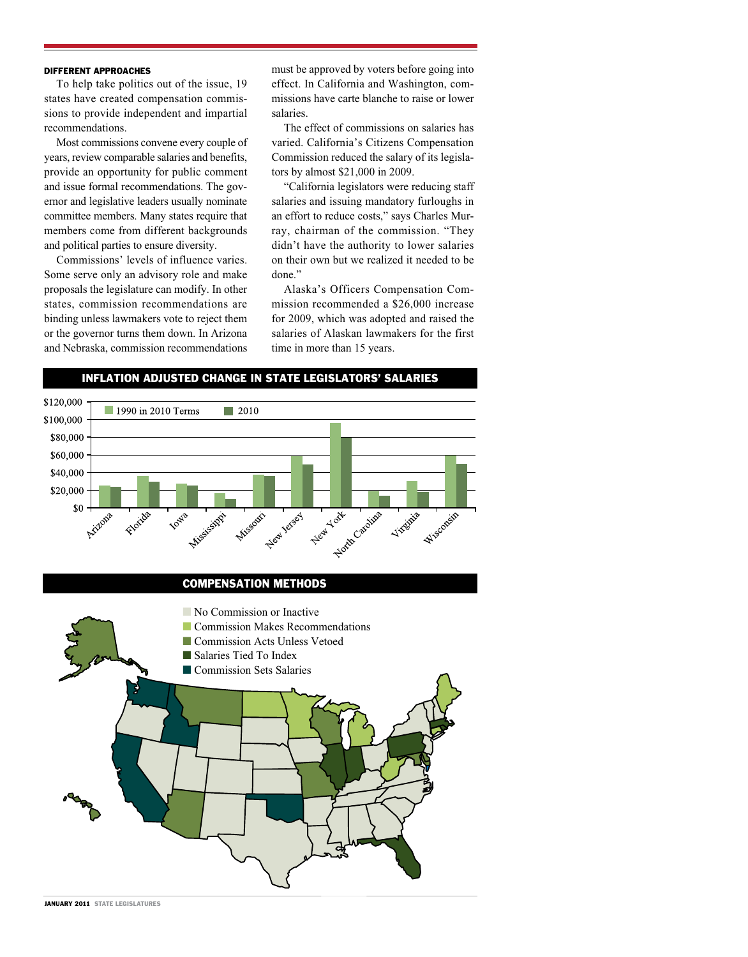### DIFFERENT APPROACHES

To help take politics out of the issue, 19 states have created compensation commissions to provide independent and impartial recommendations.

Most commissions convene every couple of years, review comparable salaries and benefits, provide an opportunity for public comment and issue formal recommendations. The governor and legislative leaders usually nominate committee members. Many states require that members come from different backgrounds and political parties to ensure diversity.

Commissions' levels of influence varies. Some serve only an advisory role and make proposals the legislature can modify. In other states, commission recommendations are binding unless lawmakers vote to reject them or the governor turns them down. In Arizona and Nebraska, commission recommendations must be approved by voters before going into effect. In California and Washington, commissions have carte blanche to raise or lower salaries.

The effect of commissions on salaries has varied. California's Citizens Compensation Commission reduced the salary of its legislators by almost \$21,000 in 2009.

"California legislators were reducing staff salaries and issuing mandatory furloughs in an effort to reduce costs," says Charles Murray, chairman of the commission. "They didn't have the authority to lower salaries on their own but we realized it needed to be done"

Alaska's Officers Compensation Commission recommended a \$26,000 increase for 2009, which was adopted and raised the salaries of Alaskan lawmakers for the first time in more than 15 years.



Inflation Adjusted Change in State Legislators' Salaries